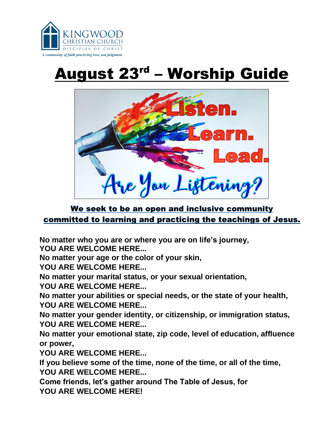

# August 23<sup>rd</sup> – Worship Guide



# We seek to be an open and inclusive community committed to learning and practicing the teachings of Jesus.

**No matter who you are or where you are on life's journey,** 

**YOU ARE WELCOME HERE...**

**No matter your age or the color of your skin,**

**YOU ARE WELCOME HERE...**

**No matter your marital status, or your sexual orientation,**

**YOU ARE WELCOME HERE...**

**No matter your abilities or special needs, or the state of your health,** 

**YOU ARE WELCOME HERE...**

**No matter your gender identity, or citizenship, or immigration status, YOU ARE WELCOME HERE...**

**No matter your emotional state, zip code, level of education, affluence or power,** 

**YOU ARE WELCOME HERE...**

**If you believe some of the time, none of the time, or all of the time, YOU ARE WELCOME HERE...**

**Come friends, let's gather around The Table of Jesus, for YOU ARE WELCOME HERE!**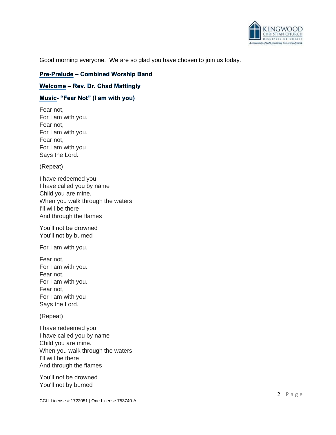

Good morning everyone. We are so glad you have chosen to join us today.

# **Pre-Prelude - Combined Worship Band**

## Welcome - Rev. Dr. Chad Mattingly

# Music- "Fear Not" (I am with you)

Fear not, For I am with you. Fear not, For I am with you. Fear not, For I am with you Says the Lord.

(Repeat)

I have redeemed you I have called you by name Child you are mine. When you walk through the waters I'll will be there And through the flames

You'll not be drowned You'll not by burned

For I am with you.

Fear not, For I am with you. Fear not, For I am with you. Fear not, For I am with you Says the Lord.

(Repeat)

I have redeemed you I have called you by name Child you are mine. When you walk through the waters I'll will be there And through the flames

You'll not be drowned You'll not by burned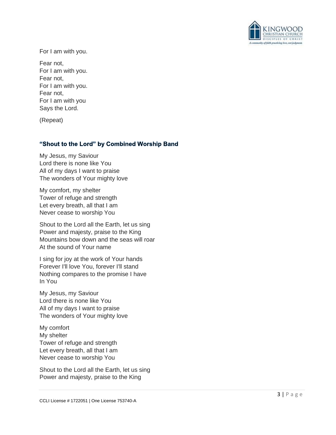

For I am with you.

Fear not, For I am with you. Fear not, For I am with you. Fear not, For I am with you Says the Lord.

(Repeat)

#### "Shout to the Lord" by Combined Worship Band

My Jesus, my Saviour Lord there is none like You All of my days I want to praise The wonders of Your mighty love

My comfort, my shelter Tower of refuge and strength Let every breath, all that I am Never cease to worship You

Shout to the Lord all the Earth, let us sing Power and majesty, praise to the King Mountains bow down and the seas will roar At the sound of Your name

I sing for joy at the work of Your hands Forever I'll love You, forever I'll stan d Nothing compares to the promise I have In You

My Jesus, my Saviour Lord there is none like You All of my days I want to praise The wonders of Your mighty love

My comfort My shelter Tower of refuge and strength Let every breath, all that I am Never cease to worship You

Shout to the Lord all the Earth, let us sing Power and majesty, praise to the King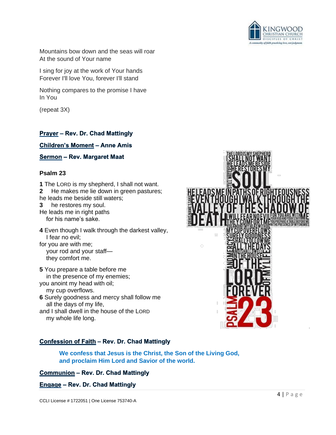

Mountains bow down and the seas will roar At the sound of Your name

I sing for joy at the work of Your hands Forever I'll love You, forever I'll stand

Nothing compares to the promise I have In You

(repeat 3X)

# **Prayer - Rev. Dr. Chad Mattingly**

**Children's Moment - Anne Amis** 

Sermon - Rev. Margaret Maat

#### **Psalm 23**

**1** The LORD is my shepherd, I shall not want. **2** He makes me lie down in green pastures; he leads me beside still waters; **3** he restores my soul. He leads me in right paths for his name's sake. **4** Even though I walk through the darkest valley,

 I fear no evil; for you are with me;

 your rod and your staff they comfort me.

**5** You prepare a table before me in the presence of my enemies; you anoint my head with oil;

my cup overflows.

**6** Surely goodness and mercy shall follow me all the days of my life, and I shall dwell in the house of the LORD my whole life long.



#### Confession of Faith - Rev. Dr. Chad Mattingly

**We confess that Jesus is the Christ, the Son of the Living God, and proclaim Him Lord and Savior of the world.**

#### **Communion - Rev. Dr. Chad Mattingly**

Engage - Rev. Dr. Chad Mattingly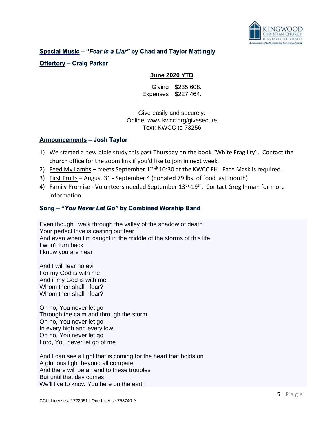

Special Music - "Fear is a Liar" by Chad and Taylor Mattingly

**Offertory - Craig Parker** 

#### **June 2020 YTD**

Giving \$235,608. Expenses \$227,464.

Give easily and securely: Online: www.kwcc.org/givesecure Text: KWCC to 73256

## **Announcements - Josh Taylor**

- 1) We started a new bible study this past Thursday on the book "White Fragility". Contact the church office for the zoom link if you'd like to join in next week.
- 2) Feed My Lambs meets September  $1^{st}$  @ 10:30 at the KWCC FH. Face Mask is required.
- 3) First Fruits August 31 September 4 (donated 79 lbs. of food last month)
- 4) Family Promise Volunteers needed September 13<sup>th</sup>-19<sup>th</sup>. Contact Greg Inman for more information.

#### Song - "You Never Let Go" by Combined Worship Band

Even though I walk through the valley of the shadow of death Your perfect love is casting out fear And even when I'm caught in the middle of the storms of this life I won't turn back I know you are near

And I will fear no evil For my God is with me And if my God is with me Whom then shall I fear? Whom then shall I fear?

Oh no, You never let go Through the calm and through the storm Oh no, You never let go In every high and every low Oh no, You never let go Lord, You never let go of me

And I can see a light that is coming for the heart that holds on A glorious light beyond all compare And there will be an end to these troubles But until that day comes We'll live to know You here on the earth